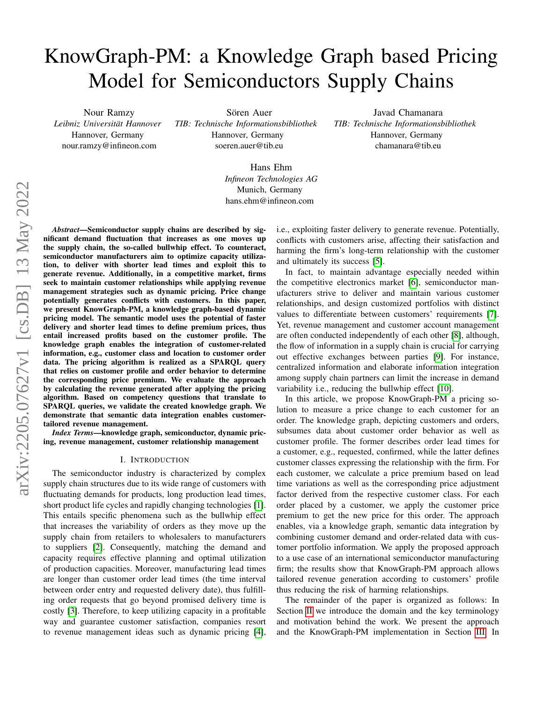# KnowGraph-PM: a Knowledge Graph based Pricing Model for Semiconductors Supply Chains

Nour Ramzy *Leibniz Universitat Hannover ¨* Hannover, Germany nour.ramzy@infineon.com

Sören Auer

*TIB: Technische Informationsbibliothek* Hannover, Germany soeren.auer@tib.eu

Javad Chamanara *TIB: Technische Informationsbibliothek* Hannover, Germany chamanara@tib.eu

Hans Ehm *Infineon Technologies AG* Munich, Germany hans.ehm@infineon.com

*Abstract*—Semiconductor supply chains are described by significant demand fluctuation that increases as one moves up the supply chain, the so-called bullwhip effect. To counteract, semiconductor manufacturers aim to optimize capacity utilization, to deliver with shorter lead times and exploit this to generate revenue. Additionally, in a competitive market, firms seek to maintain customer relationships while applying revenue management strategies such as dynamic pricing. Price change potentially generates conflicts with customers. In this paper, we present KnowGraph-PM, a knowledge graph-based dynamic pricing model. The semantic model uses the potential of faster delivery and shorter lead times to define premium prices, thus entail increased profits based on the customer profile. The knowledge graph enables the integration of customer-related information, e.g., customer class and location to customer order data. The pricing algorithm is realized as a SPARQL query that relies on customer profile and order behavior to determine the corresponding price premium. We evaluate the approach by calculating the revenue generated after applying the pricing algorithm. Based on competency questions that translate to SPARQL queries, we validate the created knowledge graph. We demonstrate that semantic data integration enables customertailored revenue management.

*Index Terms*—knowledge graph, semiconductor, dynamic pricing, revenue management, customer relationship management

#### I. INTRODUCTION

The semiconductor industry is characterized by complex supply chain structures due to its wide range of customers with fluctuating demands for products, long production lead times, short product life cycles and rapidly changing technologies [\[1\]](#page-5-0). This entails specific phenomena such as the bullwhip effect that increases the variability of orders as they move up the supply chain from retailers to wholesalers to manufacturers to suppliers [\[2\]](#page-5-1). Consequently, matching the demand and capacity requires effective planning and optimal utilization of production capacities. Moreover, manufacturing lead times are longer than customer order lead times (the time interval between order entry and requested delivery date), thus fulfilling order requests that go beyond promised delivery time is costly [\[3\]](#page-5-2). Therefore, to keep utilizing capacity in a profitable way and guarantee customer satisfaction, companies resort to revenue management ideas such as dynamic pricing [\[4\]](#page-5-3), i.e., exploiting faster delivery to generate revenue. Potentially, conflicts with customers arise, affecting their satisfaction and harming the firm's long-term relationship with the customer and ultimately its success [\[5\]](#page-5-4).

In fact, to maintain advantage especially needed within the competitive electronics market [\[6\]](#page-5-5), semiconductor manufacturers strive to deliver and maintain various customer relationships, and design customized portfolios with distinct values to differentiate between customers' requirements [\[7\]](#page-5-6). Yet, revenue management and customer account management are often conducted independently of each other [\[8\]](#page-5-7), although, the flow of information in a supply chain is crucial for carrying out effective exchanges between parties [\[9\]](#page-5-8). For instance, centralized information and elaborate information integration among supply chain partners can limit the increase in demand variability i.e., reducing the bullwhip effect [\[10\]](#page-5-9).

In this article, we propose KnowGraph-PM a pricing solution to measure a price change to each customer for an order. The knowledge graph, depicting customers and orders, subsumes data about customer order behavior as well as customer profile. The former describes order lead times for a customer, e.g., requested, confirmed, while the latter defines customer classes expressing the relationship with the firm. For each customer, we calculate a price premium based on lead time variations as well as the corresponding price adjustment factor derived from the respective customer class. For each order placed by a customer, we apply the customer price premium to get the new price for this order. The approach enables, via a knowledge graph, semantic data integration by combining customer demand and order-related data with customer portfolio information. We apply the proposed approach to a use case of an international semiconductor manufacturing firm; the results show that KnowGraph-PM approach allows tailored revenue generation according to customers' profile thus reducing the risk of harming relationships.

The remainder of the paper is organized as follows: In Section [II](#page-1-0) we introduce the domain and the key terminology and motivation behind the work. We present the approach and the KnowGraph-PM implementation in Section [III.](#page-2-0) In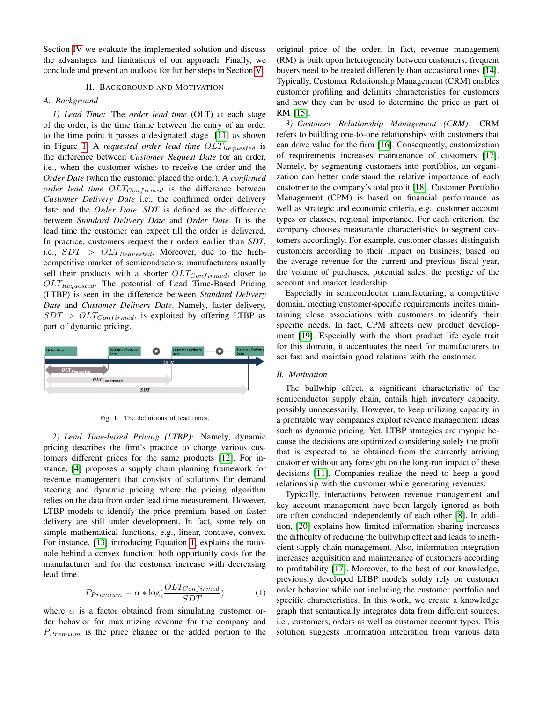Section [IV](#page-3-0) we evaluate the implemented solution and discuss the advantages and limitations of our approach. Finally, we conclude and present an outlook for further steps in Section [V.](#page-5-10)

## II. BACKGROUND AND MOTIVATION

## <span id="page-1-0"></span>*A. Background*

*1) Lead Time:* The *order lead time* (OLT) at each stage of the order, is the time frame between the entry of an order to the time point it passes a designated stage [\[11\]](#page-5-11) as shown in Figure [1.](#page-1-1) A *requested order lead time OLT*<sub>Requested</sub> is the difference between *Customer Request Date* for an order, i.e., when the customer wishes to receive the order and the *Order Date* (when the customer placed the order). A *confirmed order lead time*  $OLT_{Confirmed}$  *is the difference between Customer Delivery Date* i.e., the confirmed order delivery date and the *Order Date*. *SDT* is defined as the difference between *Standard Delivery Date* and *Order Date*. It is the lead time the customer can expect till the order is delivered. In practice, customers request their orders earlier than *SDT*, i.e.,  $SDT > OLT_{Requested}$ . Moreover, due to the highcompetitive market of semiconductors, manufacturers usually sell their products with a shorter  $OLT_{Confirmed}$ , closer to  $OLT_{Required}$ . The potential of Lead Time-Based Pricing (LTBP) is seen in the difference between *Standard Delivery Date* and *Customer Delivery Date*. Namely, faster delivery,  $SDT > OLT_{Confirmed}$ , is exploited by offering LTBP as part of dynamic pricing.



<span id="page-1-1"></span>Fig. 1. The definitions of lead times.

*2) Lead Time-based Pricing (LTBP):* Namely, dynamic pricing describes the firm's practice to charge various customers different prices for the same products [\[12\]](#page-5-12). For instance, [\[4\]](#page-5-3) proposes a supply chain planning framework for revenue management that consists of solutions for demand steering and dynamic pricing where the pricing algorithm relies on the data from order lead time measurement. However, LTBP models to identify the price premium based on faster delivery are still under development. In fact, some rely on simple mathematical functions, e.g., linear, concave, convex. For instance, [\[13\]](#page-5-13) introducing Equation [1,](#page-1-2) explains the rationale behind a convex function; both opportunity costs for the manufacturer and for the customer increase with decreasing lead time.

<span id="page-1-2"></span>
$$
P_{Premium} = \alpha * \log(\frac{OLT_{Confirmed}}{SDT})
$$
 (1)

where  $\alpha$  is a factor obtained from simulating customer order behavior for maximizing revenue for the company and  $P_{Premium}$  is the price change or the added portion to the original price of the order. In fact, revenue management (RM) is built upon heterogeneity between customers; frequent buyers need to be treated differently than occasional ones [\[14\]](#page-5-14). Typically, Customer Relationship Management (CRM) enables customer profiling and delimits characteristics for customers and how they can be used to determine the price as part of RM [\[15\]](#page-5-15).

*3) Customer Relationship Management (CRM):* CRM refers to building one-to-one relationships with customers that can drive value for the firm [\[16\]](#page-5-16). Consequently, customization of requirements increases maintenance of customers [\[17\]](#page-5-17). Namely, by segmenting customers into portfolios, an organization can better understand the relative importance of each customer to the company's total profit [\[18\]](#page-5-18). Customer Portfolio Management (CPM) is based on financial performance as well as strategic and economic criteria, e.g., customer account types or classes, regional importance. For each criterion, the company chooses measurable characteristics to segment customers accordingly. For example, customer classes distinguish customers according to their impact on business, based on the average revenue for the current and previous fiscal year, the volume of purchases, potential sales, the prestige of the account and market leadership.

Especially in semiconductor manufacturing, a competitive domain, meeting customer-specific requirements incites maintaining close associations with customers to identify their specific needs. In fact, CPM affects new product development [\[19\]](#page-5-19). Especially with the short product life cycle trait for this domain, it accentuates the need for manufacturers to act fast and maintain good relations with the customer.

#### *B. Motivation*

The bullwhip effect, a significant characteristic of the semiconductor supply chain, entails high inventory capacity, possibly unnecessarily. However, to keep utilizing capacity in a profitable way companies exploit revenue management ideas such as dynamic pricing. Yet, LTBP strategies are myopic because the decisions are optimized considering solely the profit that is expected to be obtained from the currently arriving customer without any foresight on the long-run impact of these decisions [\[11\]](#page-5-11). Companies realize the need to keep a good relationship with the customer while generating revenues.

Typically, interactions between revenue management and key account management have been largely ignored as both are often conducted independently of each other [\[8\]](#page-5-7). In addition, [\[20\]](#page-5-20) explains how limited information sharing increases the difficulty of reducing the bullwhip effect and leads to inefficient supply chain management. Also, information integration increases acquisition and maintenance of customers according to profitability [\[17\]](#page-5-17). Moreover, to the best of our knowledge, previously developed LTBP models solely rely on customer order behavior while not including the customer portfolio and specific characteristics. In this work, we create a knowledge graph that semantically integrates data from different sources, i.e., customers, orders as well as customer account types. This solution suggests information integration from various data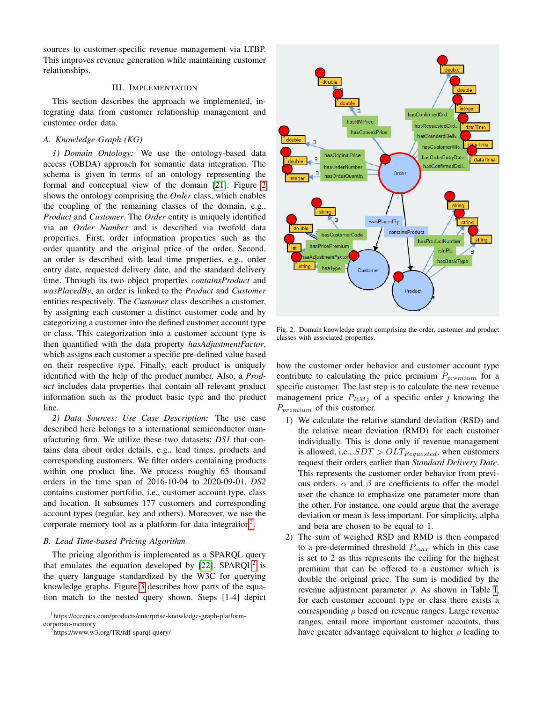sources to customer-specific revenue management via LTBP. This improves revenue generation while maintaining customer relationships.

## III. IMPLEMENTATION

<span id="page-2-0"></span>This section describes the approach we implemented, integrating data from customer relationship management and customer order data.

#### *A. Knowledge Graph (KG)*

*1) Domain Ontology:* We use the ontology-based data access (OBDA) approach for semantic data integration. The schema is given in terms of an ontology representing the formal and conceptual view of the domain [\[21\]](#page-5-21). Figure [2](#page-2-1) shows the ontology comprising the *Order* class, which enables the coupling of the remaining classes of the domain, e.g., *Product* and *Customer*. The *Order* entity is uniquely identified via an *Order Number* and is described via twofold data properties. First, order information properties such as the order quantity and the original price of the order. Second, an order is described with lead time properties, e.g., order entry date, requested delivery date, and the standard delivery time. Through its two object properties *containsProduct* and *wasPlacedBy*, an order is linked to the *Product* and *Customer* entities respectively. The *Customer* class describes a customer, by assigning each customer a distinct customer code and by categorizing a customer into the defined customer account type or class. This categorization into a customer account type is then quantified with the data property *hasAdjustmentFactor*, which assigns each customer a specific pre-defined value based on their respective type. Finally, each product is uniquely identified with the help of the product number. Also, a *Product* includes data properties that contain all relevant product information such as the product basic type and the product line.

*2) Data Sources: Use Case Description:* The use case described here belongs to a international semiconductor manufacturing firm. We utilize these two datasets: *DS1* that contains data about order details, e.g., lead times, products and corresponding customers. We filter orders containing products within one product line. We process roughly 65 thousand orders in the time span of 2016-10-04 to 2020-09-01. *DS2* contains customer portfolio, i.e., customer account type, class and location. It subsumes 177 customers and corresponding account types (regular, key and others). Moreover, we use the corporate memory tool as a platform for data integration<sup>[1](#page-2-2)</sup>.

## *B. Lead Time-based Pricing Algorithm*

The pricing algorithm is implemented as a SPARQL query that emulates the equation developed by [\[22\]](#page-5-22). SPARQL<sup>[2](#page-2-3)</sup> is the query language standardized by the W3C for querying knowledge graphs. Figure [3](#page-3-1) describes how parts of the equation match to the nested query shown. Steps [1-4] depict



- 1) We calculate the relative standard deviation (RSD) and the relative mean deviation (RMD) for each customer individually. This is done only if revenue management is allowed, i.e.,  $SDT > OLT_{Requested}$ , when customers request their orders earlier than *Standard Delivery Date*. This represents the customer order behavior from previous orders.  $\alpha$  and  $\beta$  are coefficients to offer the model user the chance to emphasize one parameter more than the other. For instance, one could argue that the average deviation or mean is less important. For simplicity, alpha and beta are chosen to be equal to 1.
- 2) The sum of weighed RSD and RMD is then compared to a pre-determined threshold  $P_{max}$  which in this case is set to 2 as this represents the ceiling for the highest premium that can be offered to a customer which is double the original price. The sum is modified by the revenue adjustment parameter ρ. As shown in Table [I,](#page-3-2) for each customer account type or class there exists a corresponding  $\rho$  based on revenue ranges. Large revenue ranges, entail more important customer accounts, thus have greater advantage equivalent to higher  $\rho$  leading to



<span id="page-2-1"></span>Fig. 2. Domain knowledge graph comprising the order, customer and product

<span id="page-2-2"></span><sup>1</sup>https://eccenca.com/products/enterprise-knowledge-graph-platform-

<span id="page-2-3"></span>corporate-memory <sup>2</sup>https://www.w3.org/TR/rdf-sparql-query/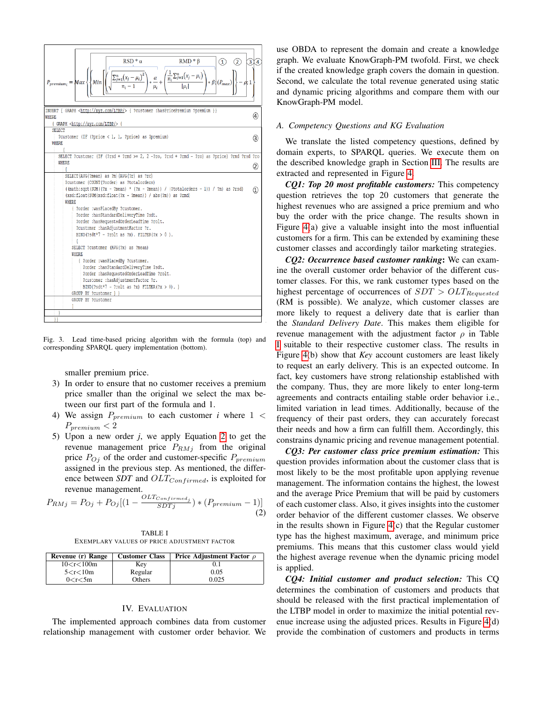

<span id="page-3-1"></span>Fig. 3. Lead time-based pricing algorithm with the formula (top) and corresponding SPARQL query implementation (bottom).

smaller premium price.

- 3) In order to ensure that no customer receives a premium price smaller than the original we select the max between our first part of the formula and 1.
- 4) We assign  $P_{\text{premium}}$  to each customer *i* where  $1 <$  $P_{premium} < 2$
- 5) Upon a new order *j*, we apply Equation [2](#page-3-3) to get the revenue management price  $P_{RMj}$  from the original price  $P_{Oj}$  of the order and customer-specific  $P_{premium}$ assigned in the previous step. As mentioned, the difference between *SDT* and  $OLT_{Confirmed}$ , is exploited for revenue management.

<span id="page-3-3"></span>
$$
P_{RMj} = P_{Oj} + P_{Oj} \left[ \left( 1 - \frac{OLT_{Confirmed_j}}{SDTj} \right) * \left( P_{premium} - 1 \right) \right] \tag{2}
$$

TABLE I EXEMPLARY VALUES OF PRICE ADJUSTMENT FACTOR

<span id="page-3-2"></span>

| Revenue (r) Range | <b>Customer Class</b> | Price Adjustment Factor $\rho$ |
|-------------------|-----------------------|--------------------------------|
| 10 < r < 100m     | Key                   |                                |
| 5 < r < 10m       | Regular               | 0.05                           |
| 0 < r < 5m        | Others                | 0.025                          |

### IV. EVALUATION

<span id="page-3-0"></span>The implemented approach combines data from customer relationship management with customer order behavior. We use OBDA to represent the domain and create a knowledge graph. We evaluate KnowGraph-PM twofold. First, we check if the created knowledge graph covers the domain in question. Second, we calculate the total revenue generated using static and dynamic pricing algorithms and compare them with our KnowGraph-PM model.

### *A. Competency Questions and KG Evaluation*

We translate the listed competency questions, defined by domain experts, to SPARQL queries. We execute them on the described knowledge graph in Section [III.](#page-2-0) The results are extracted and represented in Figure [4.](#page-4-0)

*CQ1: Top 20 most profitable customers:* This competency question retrieves the top 20 customers that generate the highest revenues who are assigned a price premium and who buy the order with the price change. The results shown in Figure [4\(](#page-4-0)a) give a valuable insight into the most influential customers for a firm. This can be extended by examining these customer classes and accordingly tailor marketing strategies.

*CQ2: Occurrence based customer ranking*: We can examine the overall customer order behavior of the different customer classes. For this, we rank customer types based on the highest percentage of occurrences of  $SDT > OLT_{Requested}$ (RM is possible). We analyze, which customer classes are more likely to request a delivery date that is earlier than the *Standard Delivery Date*. This makes them eligible for revenue management with the adjustment factor  $\rho$  in Table [I](#page-3-2) suitable to their respective customer class. The results in Figure [4\(](#page-4-0)b) show that *Key* account customers are least likely to request an early delivery. This is an expected outcome. In fact, key customers have strong relationship established with the company. Thus, they are more likely to enter long-term agreements and contracts entailing stable order behavior i.e., limited variation in lead times. Additionally, because of the frequency of their past orders, they can accurately forecast their needs and how a firm can fulfill them. Accordingly, this constrains dynamic pricing and revenue management potential.

*CQ3: Per customer class price premium estimation:* This question provides information about the customer class that is most likely to be the most profitable upon applying revenue management. The information contains the highest, the lowest and the average Price Premium that will be paid by customers of each customer class. Also, it gives insights into the customer order behavior of the different customer classes. We observe in the results shown in Figure [4\(](#page-4-0)c) that the Regular customer type has the highest maximum, average, and minimum price premiums. This means that this customer class would yield the highest average revenue when the dynamic pricing model is applied.

*CQ4: Initial customer and product selection:* This CQ determines the combination of customers and products that should be released with the first practical implementation of the LTBP model in order to maximize the initial potential revenue increase using the adjusted prices. Results in Figure [4\(](#page-4-0)d) provide the combination of customers and products in terms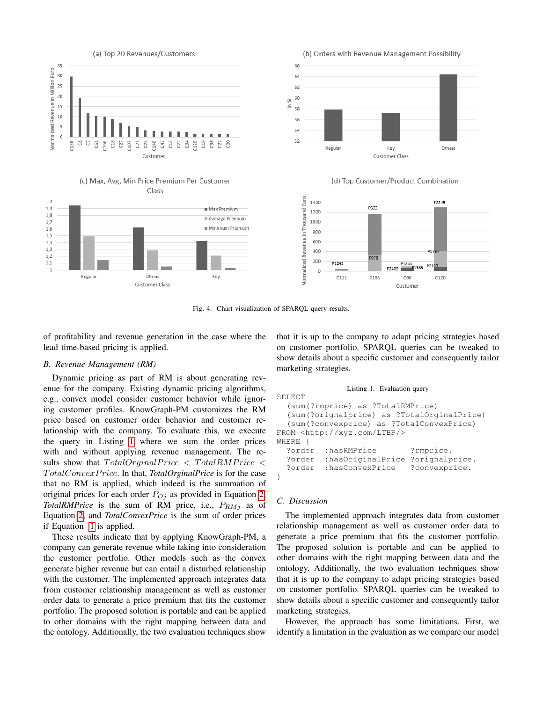

<span id="page-4-0"></span>Fig. 4. Chart visualization of SPARQL query results.

of profitability and revenue generation in the case where the lead time-based pricing is applied.

## *B. Revenue Management (RM)*

Dynamic pricing as part of RM is about generating revenue for the company. Existing dynamic pricing algorithms, e.g., convex model consider customer behavior while ignoring customer profiles. KnowGraph-PM customizes the RM price based on customer order behavior and customer relationship with the company. To evaluate this, we execute the query in Listing [1](#page-4-1) where we sum the order prices with and without applying revenue management. The results show that  $TotalOriginal Price < TotalRM Price <$ T otalConvexP rice. In that, *TotalOrginalPrice* is for the case that no RM is applied, which indeed is the summation of original prices for each order  $P_{Oj}$  as provided in Equation [2,](#page-3-3) *TotalRMPrice* is the sum of RM price, i.e.,  $P_{RMj}$  as of Equation [2,](#page-3-3) and *TotalConvexPrice* is the sum of order prices if Equation [1](#page-1-2) is applied.

These results indicate that by applying KnowGraph-PM, a company can generate revenue while taking into consideration the customer portfolio. Other models such as the convex generate higher revenue but can entail a disturbed relationship with the customer. The implemented approach integrates data from customer relationship management as well as customer order data to generate a price premium that fits the customer portfolio. The proposed solution is portable and can be applied to other domains with the right mapping between data and the ontology. Additionally, the two evaluation techniques show that it is up to the company to adapt pricing strategies based on customer portfolio. SPARQL queries can be tweaked to show details about a specific customer and consequently tailor marketing strategies.

```
Listing 1. Evaluation query
```

```
SELECT
  (sum(?rmprice) as ?TotalRMPrice)
  (sum(?orignalprice) as ?TotalOrginalPrice)
  (sum(?convexprice) as ?TotalConvexPrice)
FROM <http://xyz.com/LTBP/>
WHERE {
  ?order :hasRMPrice ?rmprice.
  ?order :hasOriginalPrice ?orignalprice.
  ?order :hasConvexPrice ?convexprice.
```
# *C. Discussion*

}

The implemented approach integrates data from customer relationship management as well as customer order data to generate a price premium that fits the customer portfolio. The proposed solution is portable and can be applied to other domains with the right mapping between data and the ontology. Additionally, the two evaluation techniques show that it is up to the company to adapt pricing strategies based on customer portfolio. SPARQL queries can be tweaked to show details about a specific customer and consequently tailor marketing strategies.

However, the approach has some limitations. First, we identify a limitation in the evaluation as we compare our model